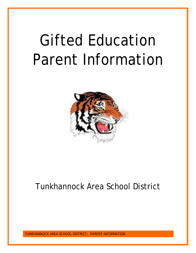# Gifted Education Parent Information



# Tunkhannock Area School District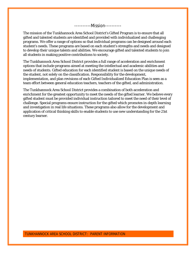----------Mission----------

The mission of the Tunkhannock Area School District's Gifted Program is to ensure that all gifted and talented students are identified and provided with individualized and challenging programs. We offer a range of options so that individual programs can be designed around each student's needs. These programs are based on each student's strengths and needs and designed to develop their unique talents and abilities. We encourage gifted and talented students to join all students in making positive contributions to society.

The Tunkhannock Area School District provides a full range of acceleration and enrichment options that include programs aimed at meeting the intellectual and academic abilities and needs of students. Gifted education for each identified student is based on the unique needs of the student, not solely on the classification. Responsibility for the development, implementation, and plan revisions of each Gifted Individualized Education Plan is seen as a team effort between general education teachers, teachers of the gifted, and administration.

The Tunkhannock Area School District provides a combination of both acceleration and enrichment for the greatest opportunity to meet the needs of the gifted learner. We believe every gifted student must be provided individual instruction tailored to meet the need of their level of challenge. Special programs ensure instruction for the gifted which promotes in-depth learning and investigation in real life situations. These programs also allow for the development and application of critical thinking skills to enable students to use new understanding for the 21st century learner.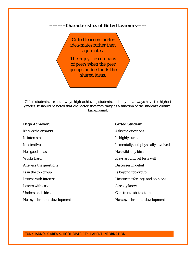**----------Characteristics of Gifted Learners------**

Gifted learners prefer idea-mates rather than age-mates.

The enjoy the company of peers when the peer groups understands the shared ideas.

*Gifted students are not always high-achieving students and may not always have the highest grades. It should be noted that characteristics may vary as a function of the student's cultural background.*

| <b>High Achiever:</b>       | <b>Gifted Student:</b>              |
|-----------------------------|-------------------------------------|
| Knows the answers           | Asks the questions                  |
| Is interested               | Is highly curious                   |
| Is attentive                | Is mentally and physically involved |
| Has good ideas              | Has wild silly ideas                |
| <b>Works hard</b>           | Plays around yet tests well         |
| Answers the questions       | Discusses in detail                 |
| Is in the top group         | Is beyond top group                 |
| Listens with interest       | Has strong feelings and opinions    |
| Learns with ease            | <b>Already knows</b>                |
| <b>Understands ideas</b>    | <b>Constructs abstractions</b>      |
| Has synchronous development | Has asynchronous development        |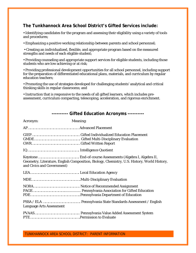# **The Tunkhannock Area School District's Gifted Services include:**

• Identifying candidates for the program and assessing their eligibility using a variety of tools and procedures;

• Emphasizing a positive working relationship between parents and school personnel;

• Creating an individualized, flexible, and appropriate program based on the measured strengths and needs of each eligible student;

• Providing counseling and appropriate support services for eligible students, including those students who are low achieving or at risk;

• Providing professional development opportunities for all school personnel, including support for the preparation of differentiated educational plans, materials, and curriculum by regular education teachers;

• Promoting the use of strategies developed for challenging students' analytical and critical thinking skills in regular classrooms; and

• Instruction that is responsive to the needs of all gifted learners, which includes preassessment, curriculum compacting, telescoping, acceleration, and rigorous enrichment.

| Acronym:                        | Meaning:                                                                                    |
|---------------------------------|---------------------------------------------------------------------------------------------|
|                                 |                                                                                             |
|                                 |                                                                                             |
|                                 |                                                                                             |
| and Civics and Government)      | Geometry, Literature, English Composition, Biology, Chemistry, U.S. History, World History, |
|                                 |                                                                                             |
|                                 |                                                                                             |
|                                 |                                                                                             |
| <b>Language Arts Assessment</b> |                                                                                             |
|                                 |                                                                                             |

# **---------- Gifted Education Acronyms ----------**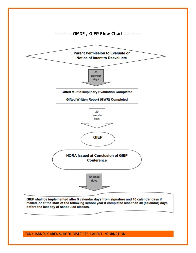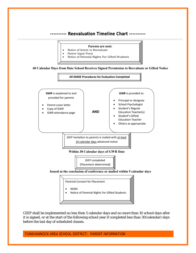# **---------- Reevaluation Timeline Chart ----------**



- Notice of Intent to Reevaluate
- **Parent Input Form** ٠

 $\bullet$ 

Notice of Parental Rights For Gifted Students ٠

#### 60 Calendar Days from Date School Receives Signed Permission to Reevaluate or Gifted Notice



GIEP shall be implemented no less then 5 calendar days and no more than 10 school days after it is signed, or at the start of the following school year if completed less than 30(calendar) days before the last day of scheduled classes.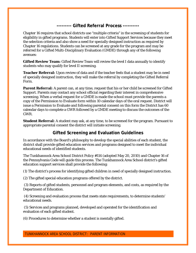# **--------- Gifted Referral Process ----------**

Chapter 16 requires that school districts use "multiple criteria" in the screening of students for eligibility in gifted programs. Students will enter into Gifted Support Services because they meet the selection criteria and also show a need for specially designed instruction as required by Chapter 16 regulations. Students can be screened at any grade for the program and may be referred for a Gifted Multi-Disciplinary Evaluation (GMDE) through any of the following avenues:

**Gifted Review Team:** Gifted Review Team will review the level I data annually to identify students who may qualify for level II screening.

**Teacher Referral:** Upon review of data and if the teacher feels that a student may be in need of specially designed instruction, they will make the referral by completing the Gifted Referral Form.

**Parent Referral:** A parent can, at any time, request that his or her child be screened for Gifted Support. Parents may contact any school official regarding their interest in comprehensive screening. When a verbal request for a GMDE is made the school must provide the parents a copy of the Permission to Evaluate form within 10 calendar days of the oral request. District will issue a Permission to Evaluate and following parental consent on this form the District has 60 calendar days to complete a GWR followed by a GMDE meeting to discuss the outcomes of the GWR.

**Student Referral:** A student may ask, at any time, to be screened for the program. Pursuant to appropriate parental consent the district will initiate screening.

# **Gifted Screening and Evaluation Guidelines**

In accordance with the Board's philosophy to develop the special abilities of each student, the district shall provide gifted education services and programs designed to meet the individual educational needs of identified students.

The Tunkhannock Area School District Policy #114 (adopted May 20, 2010) and Chapter 16 of the Pennsylvania Code will guide this process. The Tunkhannock Area School district's gifted education support services shall provide the following:

(1) The district's process for identifying gifted children in need of specially designed instruction.

(2) The gifted special education programs offered by the district.

(3) Reports of gifted students, personnel and program elements, and costs, as required by the Department of Education.

(4) Screening and evaluation process that meets state requirements, to determine students' educational needs.

(5) Services and programs planned, developed and operated for the identification and evaluation of each gifted student.

(6) Procedures to determine whether a student is mentally gifted.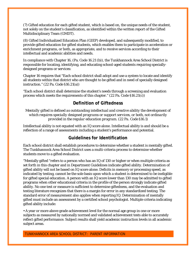(7) Gifted education for each gifted student, which is based on, the unique needs of the student, not solely on the student's classification, as identified within the written report of the Gifted Multidisciplinary Team (GMDT).

(8) Gifted Individualized Education Plan (GIEP) developed, and subsequently modified, to provide gifted education for gifted students, which enables them to participate in acceleration or enrichment programs, or both, as appropriate, and to receive services according to their intellectual and academic abilities and needs.

In compliance with Chapter 16, (Pa. Code 16.21 (b)), the Tunkhannock Area School District is responsible for locating, identifying, and educating school-aged students requiring speciallydesigned programs or services:

Chapter 16 requires that "Each school district shall adopt and use a system to locate and identify all students within that district who are thought to be gifted and in need of specially designed instruction." (22 Pa. Code §16.21(a))

"Each school district shall determine the student's needs through a screening and evaluation process which meets the requirements of this chapter." (22 Pa. Code §16.21(c))

# **Definition of Giftedness**

*Mentally gifted is defined as outstanding intellectual and creative ability the development of which requires specially designed programs or support services, or both, not ordinarily provided in the regular education program. (22 Pa. Code §16.1)*

Intellectual ability is not equated with an IQ score alone. Intellectual ability is and should be a reflection of a range of assessments including a student's performance and potential.

# **Guidelines for Identification**

Each school district shall establish procedures to determine whether a student is mentally gifted. The Tunkhannock Area School District uses a multi-criteria process to determine whether students move to a gifted evaluation.

"Mentally gifted "refers to a person who has an IQ of 130 or higher or when multiple criteria as set forth in this chapter and in Department Guidelines indicate gifted ability. Determination of gifted ability will not be based on IQ score alone. Deficits in memory or processing speed, as indicated by testing, cannot be the sole basis upon which a student is determined to be ineligible for gifted special education. A person with an IQ score lower than 130 may be admitted to gifted programs when other educational criteria in the profile of the person strongly indicate gifted ability. No one test or measure is sufficient to determine giftedness, and the evaluation and testing literature recognizes that there is a margin for error in any standardized testing. The standard error of measurement also applies when reporting IQ. Determination of mentally gifted must include an assessment by a certified school psychologist. Multiple criteria indicating gifted ability include:

• A year or more above grade achievement level for the normal age group in one or more subjects as measured by nationally normed and validated achievement tests able to accurately reflect gifted performance. Subject results shall yield academic instruction levels in all academic subject areas.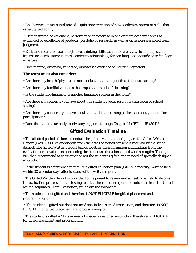• An observed or measured rate of acquisition/retention of new academic content or skills that reflect gifted ability.

• Demonstrated achievement, performance or expertise in one or more academic areas as evidenced by excellence of products, portfolio or research, as well as criterion-referenced team judgment.

• Early and measured use of high-level thinking skills, academic creativity, leadership skills, intense academic interest areas, communications skills, foreign language aptitude or technology expertise.

• Documented, observed, validated, or assessed evidence of intervening factors.

#### **The team must also consider:**

• Are there any health (physical or mental) factors that impact this student's learning?

• Are there any familial variables that impact this student's learning?

• Is the student bi-lingual or is another language spoken in the home?

• Are there any concerns you have about this student's behavior in the classroom or school setting?

• Are there any concerns you have about this student's learning performance, output, and/or participation?

• Does the student currently receive any supports through Chapter 14 (IEP) or 15 (504)?

# **Gifted Evaluation Timeline**

• The allotted period of time to conduct the gifted evaluation and prepare the Gifted Written Report (GWR) is 60 calendar days from the date the signed consent is received by the school district. The Gifted Written Report brings together the information and findings from the evaluation or reevaluation concerning the student's educational needs and strengths. The report will then recommend as to whether or not the student is gifted and in need of specially designed instruction.

• If the student is determined to require a gifted education plan (GIEP), a meeting must be held within 30 calendar days after issuance of the written report.

• The Gifted Written Report is provided to the parent to review and a meeting is held to discuss the evaluation process and the testing results. There are three possible outcomes from the Gifted Multidisciplinary Team Evaluation, which are the following:

• The student is not gifted and therefore is NOT ELIGIBLE for gifted placement and programming: or

• The student is gifted but does not need specially designed instruction, and therefore is NOT ELIGIBLE for gifted placement and programming; or

• The student is gifted AND is in need of specially designed instruction therefore is ELIGIBLE for gifted placement and programming.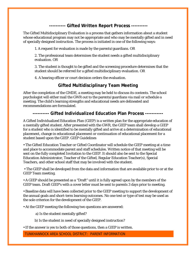# **---------- Gifted Written Report Process ----------**

The Gifted Multidisciplinary Evaluation is a process that gathers information about a student whose educational program may not be appropriate and who may be mentally gifted and in need of specially designed instruction. The process is initiated in one of the following ways:

1. A request for evaluation is made by the parents/guardians. OR

2. The professional team determines the student needs a gifted multidisciplinary evaluation. OR

3. The student is thought to be gifted and the screening procedure determines that the student should be referred for a gifted multidisciplinary evaluation. OR

4. A hearing officer or court decision orders the evaluation.

# **Gifted Multidisciplinary Team Meeting**

After the completion of the GMDE, a meeting may be held to discuss its contents. The school psychologist will either mail the GWR out to the parents/guardians via mail or schedule a meeting. The child's learning strengths and educational needs are delineated and recommendations are formulated.

# **---------- Gifted Individualized Education Plan Process -----------**

A Gifted Individualized Education Plan (GIEP) is a written plan for the appropriate education of a mentally gifted student. After presented with the GWR, the GIEP team shall develop a GIEP for a student who is identified to be mentally gifted and arrive at a determination of educational placement, change in educational placement or continuation of educational placement for a student based upon the GIEP. GIEP Guidelines

• The Gifted Education Teacher or Gifted Coordinator will schedule the GIEP meeting at a time and place to accommodate parent and staff schedules. Written notice of that meeting will be sent on the fully completed Invitation to the GIEP. It should also be sent to the Special Education Administrator, Teacher of the Gifted, Regular Education Teacher(s), Special Teachers, and other school staff that may be involved with the student.

• The GIEP shall be developed from the data and information that are available prior to or at the GIEP Team meeting.

• A GIEP should be presented as a "Draft" until it is fully agreed upon by the members of the GIEP team. Draft GIEP's with a cover letter must be sent to parents 3 days prior to meeting.

• Baseline data will have been collected prior to the GIEP meeting to support the development of the annual goals and short-term learning outcomes. No one test or type of test may be used as the sole criterion for the development of the GIEP.

• At the GIEP meeting the following two questions are answered:

a) Is the student mentally gifted?

b) Is the student in need of specially designed instruction?

• If the answer is yes to both of those questions, then a GIEP is written.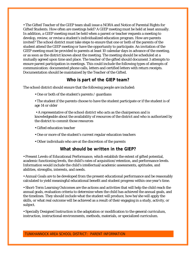• The Gifted Teacher of the GIEP team shall issue a NORA and Notice of Parental Rights for Gifted Students. How often are meetings held? A GIEP meeting must be held at least annually. In addition, a GIEP meeting must be held when a parent or teacher requests a meeting to develop, review, or revise a student's individualized education program. How are parents invited? The school district must take steps to ensure that one or both of the parents of the student attend the GIEP meeting or have the opportunity to participate. An invitation of the GIEP meeting must be provided to parents at least 10 calendar days in advance of the meeting, or as soon as the district knows about the meeting. The meeting should be scheduled at a mutually agreed upon time and place. The teacher of the gifted should document 3 attempts to ensure parent participation in meetings. This could include the following types of attempts of communication: documented phone calls, letters and certified letters with return receipts. Documentation should be maintained by the Teacher of the Gifted.

## **Who is part of the GIEP team?**

The school district should ensure that the following people are included:

- One or both of the student's parents / guardians
- The student if the parents choose to have the student participate or if the student is of age 14 or older
- A representative of the school district who acts as the chairperson and is knowledgeable about the availability of resources of the district and who is authorized by the district to commit those resources
- Gifted education teacher
- One or more of the student's current regular education teachers
- Other individuals who are at the discretion of the parents

# **What should be written in the GIEP?**

• Present Levels of Educational Performance, which establish the extent of gifted potential, academic functioning levels, the child's rates of acquisition/retention, and performance levels. Information would include the child's intellectual/academic assessments, aptitudes, and abilities, strengths, interests, and needs.

• Annual Goals are to be developed from the present educational performance and be reasonably calculated to yield meaningful educational benefit and student progress within one year's time.

• Short-Term Learning Outcomes are the actions and activities that will help the child reach the annual goals, evaluation criteria to determine when the child has achieved the annual goals, and the timelines. They should include what the student will produce, how he/she will apply the skills, or what real outcome will be achieved as a result of their engaging in a study, activity, or subject.

• Specially Designed Instruction is the adaptation or modification to the general curriculum, instruction, instructional environments, methods, materials, or specialized curriculum.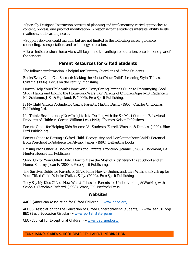• Specially Designed Instruction consists of planning and implementing varied approaches to content, process, and product modification in response to the student's interests, ability levels, readiness, and learning needs.

• Support Services could include, but are not limited to the following: career guidance, counseling, transportation, and technology education.

• Dates indicate when the services will begin and the anticipated duration, based on one year of the services.

# **Parent Resources for Gifted Students**

The following information is helpful for Parents/Guardians of Gifted Students:

Books Every Child Can Succeed: Making the Most of Your Child's Learning Style. Tobias, Cynthia. (1996). Focus on the Family Publishing.

How to Help Your Child with Homework: Every Caring Parent's Guide to Encouraging Good Study Habits and Ending the Homework Wars: For Parents of Children Ages 6-13. Radencich, M., Schlumm, J.S., & Espeland, P. (1996). Free Spirit Publishing.

Is My Child Gifted? A Guide for Caring Parents. Martin, David. (1986). Charles C. Thomas Publishing Ltd.

Kid Think: Revolutionary New Insights Into Dealing with the Six Most Common Behavioral Problems of Children. Carter, William Lee. (1993). Thomas Nelson Publishers.

Parents Guide for Helping Kids Become "A" Students. Farrell, Watson, & Dundas. (1990). Blue Bird Publishing.

Parents Guide to Raising a Gifted Child: Recognizing and Developing Your Child's Potential from Preschool to Adolescence. Alvino, James. (1996). Ballantine Books.

Raising Each Other: A Book for Teens and Parents. Brondino, Jeanne. (1988). Claremont, CA: Hunter House Inc., Publishers.

Stand Up for Your Gifted Child: How to Make the Most of Kids' Strengths at School and at Home. Smutny, Joan F. (2000). Free Spirit Publishing.

The Survival Guide for Parents of Gifted Kids: How to Understand, Live With, and Stick up for Your Gifted Child. Yahnke Walker, Sally. (2002). Free Spirit Publishing.

They Say My Kids Gifted, Now What?: Ideas for Parents for Understanding & Working with Schools. Olenchak, Richard. (1998). Waco, TX: Prufrock Press.

### **Websites**

AAGC (American Association for Gifted Children) ~ [www.aagc.org/](http://www.aagc.org/)

AEGUS (Association for the Education of Gifted Underachieving Students): ~ www.aegus1.org/ BEC (Basic Education Circular) ~ [www.portal.state.pa.us](http://www.portal.state.pa.us/)

CEC (Council for Exceptional Children) ~ [www.cec.sped.org/](http://www.cec.sped.org/)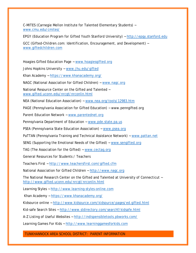C-MITES (Carnegie Mellon Institute for Talented Elementary Students) ~ [www.cmu.edu/cmites/](http://www.cmu.edu/cmites/)

EPGY (Education Program for Gifted Youth Stanford University) ~ [http://epgy.stanford.edu](http://epgy.stanford.edu/)

GCC (Gifted-Children.com: Identification, Encouragement, and Development) ~ [www.giftedchildren.com](http://www.giftedchildren.com/)

Hoagies Gifted Education Page ~ [www.hoagiesgifted.org](http://www.hoagiesgifted.org/) 

Johns Hopkins University ~ [www.jhu.edu/gifted](http://www.jhu.edu/gifted)

Khan Academy ~<https://www.khanacademy.org/>

NAGC (National Association for Gifted Children) ~ [www.nagc.org](http://www.nagc.org/)

National Resource Center on the Gifted and Talented ~ [www.gifted.uconn.edu/nrcgt/nrconlin.html](http://www.gifted.uconn.edu/nrcgt/nrconlin.html)

NEA (National Education Association) ~ [www.nea.org/tools/12983.htm](http://www.nea.org/tools/12983.htm)

PAGE (Pennsylvania Association for Gifted Education) ~ www.penngifted.org

Parent Education Network ~ [www.parentednet.org](http://www.parentednet.org/)

Pennsylvania Department of Education ~ [www.pde.state.pa.us](http://www.pde.state.pa.us/)

PSEA (Pennsylvania State Education Association) ~ [www.psea.org](http://www.psea.org/)

PaTTAN (Pennsylvania Training and Technical Assistance Network) ~ [www.pattan.net](http://www.pattan.net/)

SENG (Supporting the Emotional Needs of the Gifted) ~ [www.sengifted.org](http://www.sengifted.org/)

TAG (The Association for the Gifted) ~ [www.cectag.org](http://www.cectag.org/)

General Resources for Students / Teachers

Teachers First ~<http://www.teachersfirst.com/gifted.cfm>

National Association for Gifted Children ~ [http://www.nagc.org](http://www.nagc.org/)

The National Research Center on the Gifted and Talented at University of Connecticut ~ <http://www.gifted.uconn.edu/nrcgt/nrconlin.html>

Learning Styles ~ [http://www.learning-styles-online.com](http://www.learning-styles-online.com/)

Khan Academy ~<https://www.khanacademy.org/>

Kidsource online ~<http://www.kidsource.com/kidsource/pages/ed.gifted.html>

Kid-safe Search Sites ~<http://www.sldirectory.com/searchf/kidsafe.html>

A-Z Listing of Useful Websites ~<http://indispensibletools.pbworks.com/>

Learning Games For Kids ~ [http://www.learninggamesforkids.com](http://www.learninggamesforkids.com/)